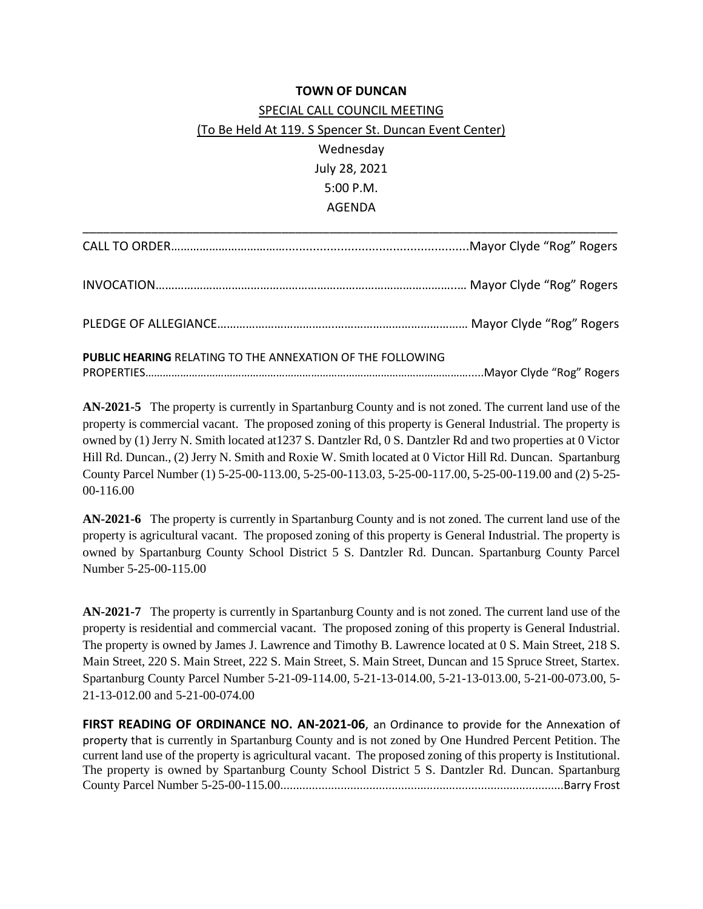## **TOWN OF DUNCAN**

## SPECIAL CALL COUNCIL MEETING (To Be Held At 119. S Spencer St. Duncan Event Center) Wednesday July 28, 2021 5:00 P.M. AGENDA

| <b>PUBLIC HEARING RELATING TO THE ANNEXATION OF THE FOLLOWING</b> |  |
|-------------------------------------------------------------------|--|

**AN-2021-5** The property is currently in Spartanburg County and is not zoned. The current land use of the property is commercial vacant. The proposed zoning of this property is General Industrial. The property is owned by (1) Jerry N. Smith located at1237 S. Dantzler Rd, 0 S. Dantzler Rd and two properties at 0 Victor Hill Rd. Duncan., (2) Jerry N. Smith and Roxie W. Smith located at 0 Victor Hill Rd. Duncan. Spartanburg County Parcel Number (1) 5-25-00-113.00, 5-25-00-113.03, 5-25-00-117.00, 5-25-00-119.00 and (2) 5-25- 00-116.00

**AN-2021-6** The property is currently in Spartanburg County and is not zoned. The current land use of the property is agricultural vacant. The proposed zoning of this property is General Industrial. The property is owned by Spartanburg County School District 5 S. Dantzler Rd. Duncan. Spartanburg County Parcel Number 5-25-00-115.00

**AN-2021-7** The property is currently in Spartanburg County and is not zoned. The current land use of the property is residential and commercial vacant. The proposed zoning of this property is General Industrial. The property is owned by James J. Lawrence and Timothy B. Lawrence located at 0 S. Main Street, 218 S. Main Street, 220 S. Main Street, 222 S. Main Street, S. Main Street, Duncan and 15 Spruce Street, Startex. Spartanburg County Parcel Number 5-21-09-114.00, 5-21-13-014.00, 5-21-13-013.00, 5-21-00-073.00, 5- 21-13-012.00 and 5-21-00-074.00

**FIRST READING OF ORDINANCE NO. AN-2021-06**, an Ordinance to provide for the Annexation of property that is currently in Spartanburg County and is not zoned by One Hundred Percent Petition. The current land use of the property is agricultural vacant. The proposed zoning of this property is Institutional. The property is owned by Spartanburg County School District 5 S. Dantzler Rd. Duncan. Spartanburg County Parcel Number 5-25-00-115.00.........................................................................................Barry Frost